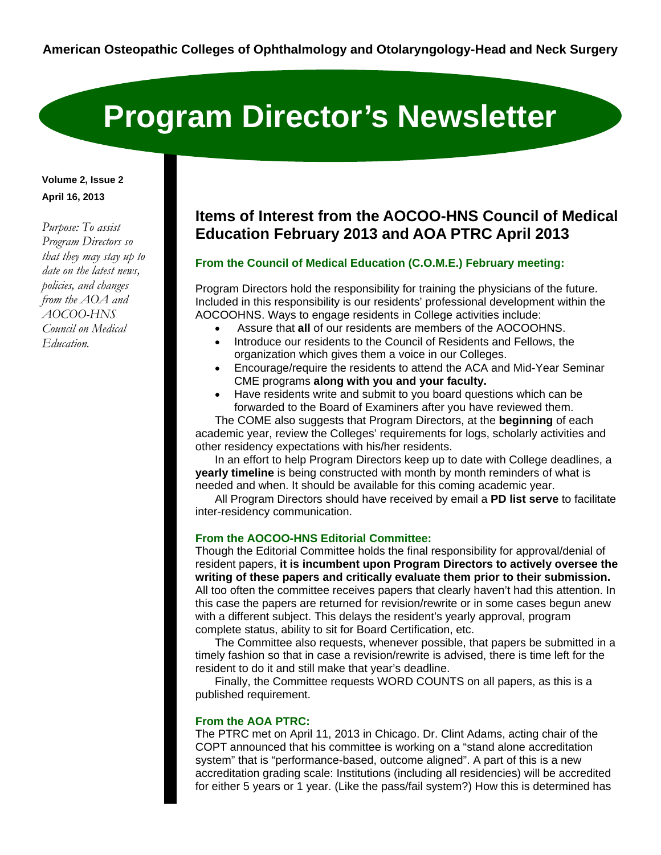# **Program Director's Newsletter**

### **Volume 2, Issue 2 April 16, 2013**

*Purpose: To assist Program Directors so that they may stay up to date on the latest news, policies, and changes from the AOA and AOCOO-HNS Council on Medical Education.* 

# **Items of Interest from the AOCOO-HNS Council of Medical Education February 2013 and AOA PTRC April 2013**

#### **From the Council of Medical Education (C.O.M.E.) February meeting:**

Program Directors hold the responsibility for training the physicians of the future. Included in this responsibility is our residents' professional development within the AOCOOHNS. Ways to engage residents in College activities include:

- Assure that **all** of our residents are members of the AOCOOHNS.
- Introduce our residents to the Council of Residents and Fellows, the organization which gives them a voice in our Colleges.
- Encourage/require the residents to attend the ACA and Mid-Year Seminar CME programs **along with you and your faculty.**
- Have residents write and submit to you board questions which can be forwarded to the Board of Examiners after you have reviewed them.

 The COME also suggests that Program Directors, at the **beginning** of each academic year, review the Colleges' requirements for logs, scholarly activities and other residency expectations with his/her residents.

 In an effort to help Program Directors keep up to date with College deadlines, a **yearly timeline** is being constructed with month by month reminders of what is needed and when. It should be available for this coming academic year.

 All Program Directors should have received by email a **PD list serve** to facilitate inter-residency communication.

#### **From the AOCOO-HNS Editorial Committee:**

Though the Editorial Committee holds the final responsibility for approval/denial of resident papers, **it is incumbent upon Program Directors to actively oversee the writing of these papers and critically evaluate them prior to their submission.** All too often the committee receives papers that clearly haven't had this attention. In this case the papers are returned for revision/rewrite or in some cases begun anew with a different subject. This delays the resident's yearly approval, program complete status, ability to sit for Board Certification, etc.

 The Committee also requests, whenever possible, that papers be submitted in a timely fashion so that in case a revision/rewrite is advised, there is time left for the resident to do it and still make that year's deadline.

 Finally, the Committee requests WORD COUNTS on all papers, as this is a published requirement.

#### **From the AOA PTRC:**

The PTRC met on April 11, 2013 in Chicago. Dr. Clint Adams, acting chair of the COPT announced that his committee is working on a "stand alone accreditation system" that is "performance-based, outcome aligned". A part of this is a new accreditation grading scale: Institutions (including all residencies) will be accredited for either 5 years or 1 year. (Like the pass/fail system?) How this is determined has